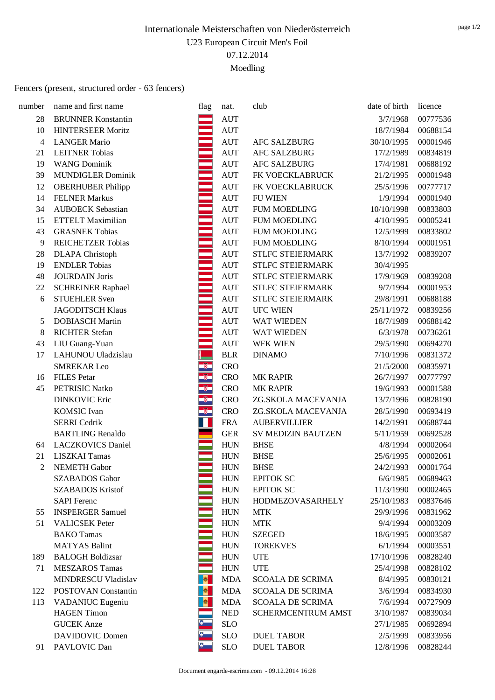#### Fencers (present, structured order - 63 fencers)

| number         | name and first name       | flag                   | nat.                        | club                    | date of birth | licence  |
|----------------|---------------------------|------------------------|-----------------------------|-------------------------|---------------|----------|
| 28             | <b>BRUNNER Konstantin</b> |                        | <b>AUT</b>                  |                         | 3/7/1968      | 00777536 |
| 10             | <b>HINTERSEER Moritz</b>  |                        | <b>AUT</b>                  |                         | 18/7/1984     | 00688154 |
| $\overline{4}$ | <b>LANGER Mario</b>       |                        | <b>AUT</b>                  | <b>AFC SALZBURG</b>     | 30/10/1995    | 00001946 |
| 21             | <b>LEITNER Tobias</b>     |                        | <b>AUT</b>                  | <b>AFC SALZBURG</b>     | 17/2/1989     | 00834819 |
| 19             | <b>WANG Dominik</b>       |                        | <b>AUT</b>                  | <b>AFC SALZBURG</b>     | 17/4/1981     | 00688192 |
| 39             | <b>MUNDIGLER Dominik</b>  |                        | <b>AUT</b>                  | FK VOECKLABRUCK         | 21/2/1995     | 00001948 |
| 12             | <b>OBERHUBER Philipp</b>  |                        | <b>AUT</b>                  | FK VOECKLABRUCK         | 25/5/1996     | 00777717 |
| 14             | <b>FELNER Markus</b>      |                        | <b>AUT</b>                  | <b>FU WIEN</b>          | 1/9/1994      | 00001940 |
| 34             | <b>AUBOECK</b> Sebastian  |                        | <b>AUT</b>                  | <b>FUM MOEDLING</b>     | 10/10/1998    | 00833803 |
| 15             | ETTELT Maximilian         |                        | <b>AUT</b>                  | <b>FUM MOEDLING</b>     | 4/10/1995     | 00005241 |
| 43             | <b>GRASNEK Tobias</b>     |                        | <b>AUT</b>                  | <b>FUM MOEDLING</b>     | 12/5/1999     | 00833802 |
| 9              | <b>REICHETZER Tobias</b>  |                        | <b>AUT</b>                  | <b>FUM MOEDLING</b>     | 8/10/1994     | 00001951 |
| 28             | <b>DLAPA</b> Christoph    |                        | <b>AUT</b>                  | STLFC STEIERMARK        | 13/7/1992     | 00839207 |
| 19             | <b>ENDLER Tobias</b>      |                        | <b>AUT</b>                  | STLFC STEIERMARK        | 30/4/1995     |          |
| 48             | <b>JOURDAIN</b> Joris     |                        | <b>AUT</b>                  | STLFC STEIERMARK        | 17/9/1969     | 00839208 |
| 22             | <b>SCHREINER Raphael</b>  |                        | <b>AUT</b>                  | STLFC STEIERMARK        | 9/7/1994      | 00001953 |
| 6              | <b>STUEHLER Sven</b>      |                        | <b>AUT</b>                  | STLFC STEIERMARK        | 29/8/1991     | 00688188 |
|                | <b>JAGODITSCH Klaus</b>   |                        | <b>AUT</b>                  | <b>UFC WIEN</b>         | 25/11/1972    | 00839256 |
| 5              | <b>DOBIASCH Martin</b>    |                        | <b>AUT</b>                  | <b>WAT WIEDEN</b>       | 18/7/1989     | 00688142 |
| 8              | <b>RICHTER Stefan</b>     |                        | <b>AUT</b>                  | WAT WIEDEN              | 6/3/1978      | 00736261 |
| 43             | LIU Guang-Yuan            |                        | <b>AUT</b>                  | <b>WFK WIEN</b>         | 29/5/1990     | 00694270 |
| 17             | LAHUNOU Uladzislau        |                        | <b>BLR</b>                  | <b>DINAMO</b>           | 7/10/1996     | 00831372 |
|                | <b>SMREKAR Leo</b>        | $\widehat{\mathbb{S}}$ | <b>CRO</b>                  |                         | 21/5/2000     | 00835971 |
| 16             | <b>FILES</b> Petar        |                        | <b>CRO</b>                  | <b>MK RAPIR</b>         | 26/7/1997     | 00777797 |
| 45             | PETRISIC Natko            | s.                     | <b>CRO</b>                  | <b>MK RAPIR</b>         | 19/6/1993     | 00001588 |
|                | <b>DINKOVIC Eric</b>      | $^{\circ}$             | <b>CRO</b>                  | ZG.SKOLA MACEVANJA      | 13/7/1996     | 00828190 |
|                | <b>KOMSIC</b> Ivan        | $\circ$                | <b>CRO</b>                  | ZG.SKOLA MACEVANJA      | 28/5/1990     | 00693419 |
|                | <b>SERRI</b> Cedrik       | T.                     | <b>FRA</b>                  | <b>AUBERVILLIER</b>     | 14/2/1991     | 00688744 |
|                | <b>BARTLING Renaldo</b>   |                        | <b>GER</b>                  | SV MEDIZIN BAUTZEN      | 5/11/1959     | 00692528 |
| 64             | <b>LACZKOVICS Daniel</b>  |                        | <b>HUN</b>                  | <b>BHSE</b>             | 4/8/1994      | 00002064 |
| 21             | <b>LISZKAI Tamas</b>      |                        | <b>HUN</b>                  | <b>BHSE</b>             | 25/6/1995     | 00002061 |
| $\overline{2}$ | <b>NEMETH Gabor</b>       |                        | <b>HUN</b>                  | <b>BHSE</b>             | 24/2/1993     | 00001764 |
|                | <b>SZABADOS</b> Gabor     |                        | <b>HUN</b>                  | <b>EPITOK SC</b>        | 6/6/1985      | 00689463 |
|                | <b>SZABADOS Kristof</b>   |                        | <b>HUN</b>                  | <b>EPITOK SC</b>        | 11/3/1990     | 00002465 |
|                | <b>SAPI</b> Ferenc        |                        | <b>HUN</b>                  | HODMEZOVASARHELY        | 25/10/1983    | 00837646 |
| 55             | <b>INSPERGER Samuel</b>   |                        | <b>HUN</b>                  | <b>MTK</b>              | 29/9/1996     | 00831962 |
| 51             | <b>VALICSEK</b> Peter     |                        | <b>HUN</b>                  | <b>MTK</b>              | 9/4/1994      | 00003209 |
|                | <b>BAKO</b> Tamas         |                        | <b>HUN</b>                  | <b>SZEGED</b>           | 18/6/1995     | 00003587 |
|                | <b>MATYAS Balint</b>      |                        | <b>HUN</b>                  | <b>TOREKVES</b>         | 6/1/1994      | 00003551 |
| 189            | <b>BALOGH Boldizsar</b>   |                        | <b>HUN</b>                  | <b>UTE</b>              | 17/10/1996    | 00828240 |
| 71             | <b>MESZAROS Tamas</b>     |                        | <b>HUN</b>                  | <b>UTE</b>              | 25/4/1998     | 00828102 |
|                | MINDRESCU Vladislav       |                        | <b>MDA</b>                  | <b>SCOALA DE SCRIMA</b> | 8/4/1995      | 00830121 |
| 122            | POSTOVAN Constantin       |                        | <b>MDA</b>                  | <b>SCOALA DE SCRIMA</b> | 3/6/1994      | 00834930 |
| 113            | VADANIUC Eugeniu          | $\bullet$              | <b>MDA</b>                  | <b>SCOALA DE SCRIMA</b> | 7/6/1994      | 00727909 |
|                | <b>HAGEN</b> Timon        |                        | $\ensuremath{\mathsf{NED}}$ | SCHERMCENTRUM AMST      | 3/10/1987     | 00839034 |
|                | <b>GUCEK</b> Anze         |                        | <b>SLO</b>                  |                         | 27/1/1985     | 00692894 |
|                | DAVIDOVIC Domen           |                        | SLO                         | <b>DUEL TABOR</b>       | 2/5/1999      | 00833956 |
| 91             | PAVLOVIC Dan              |                        | <b>SLO</b>                  | <b>DUEL TABOR</b>       | 12/8/1996     | 00828244 |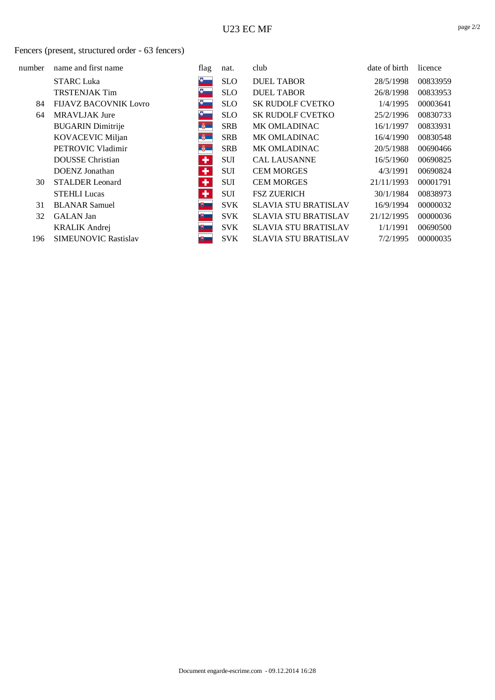#### Fencers (present, structured order - 63 fencers)

| number | name and first name          | flag          | nat.       | club                        | date of birth | licence  |
|--------|------------------------------|---------------|------------|-----------------------------|---------------|----------|
|        | <b>STARC Luka</b>            | $\delta$      | <b>SLO</b> | <b>DUEL TABOR</b>           | 28/5/1998     | 00833959 |
|        | <b>TRSTENJAK Tim</b>         | $\bullet$     | <b>SLO</b> | <b>DUEL TABOR</b>           | 26/8/1998     | 00833953 |
| 84     | <b>FIJAVZ BACOVNIK Lovro</b> | $\delta$      | <b>SLO</b> | <b>SK RUDOLF CVETKO</b>     | 1/4/1995      | 00003641 |
| 64     | <b>MRAVLJAK Jure</b>         | $\frac{1}{2}$ | <b>SLO</b> | <b>SK RUDOLF CVETKO</b>     | 25/2/1996     | 00830733 |
|        | <b>BUGARIN</b> Dimitrije     | $^{\circ}$    | <b>SRB</b> | <b>MK OMLADINAC</b>         | 16/1/1997     | 00833931 |
|        | <b>KOVACEVIC Miljan</b>      | <b>B</b>      | <b>SRB</b> | <b>MK OMLADINAC</b>         | 16/4/1990     | 00830548 |
|        | PETROVIC Vladimir            | <b>B</b>      | <b>SRB</b> | <b>MK OMLADINAC</b>         | 20/5/1988     | 00690466 |
|        | <b>DOUSSE</b> Christian      | ٠             | <b>SUI</b> | <b>CAL LAUSANNE</b>         | 16/5/1960     | 00690825 |
|        | DOENZ Jonathan               | ٠             | <b>SUI</b> | <b>CEM MORGES</b>           | 4/3/1991      | 00690824 |
| 30     | <b>STALDER</b> Leonard       | ٠             | SUI        | <b>CEM MORGES</b>           | 21/11/1993    | 00001791 |
|        | <b>STEHLI Lucas</b>          | ٠             | <b>SUI</b> | <b>FSZ ZUERICH</b>          | 30/1/1984     | 00838973 |
| 31     | <b>BLANAR Samuel</b>         |               | <b>SVK</b> | <b>SLAVIA STU BRATISLAV</b> | 16/9/1994     | 00000032 |
| 32     | <b>GALAN</b> Jan             | 电工            | <b>SVK</b> | <b>SLAVIA STU BRATISLAV</b> | 21/12/1995    | 00000036 |
|        | <b>KRALIK Andrej</b>         | 嗖一            | <b>SVK</b> | <b>SLAVIA STU BRATISLAV</b> | 1/1/1991      | 00690500 |
| 196    | <b>SIMEUNOVIC Rastislav</b>  | 博士            | <b>SVK</b> | <b>SLAVIA STU BRATISLAV</b> | 7/2/1995      | 00000035 |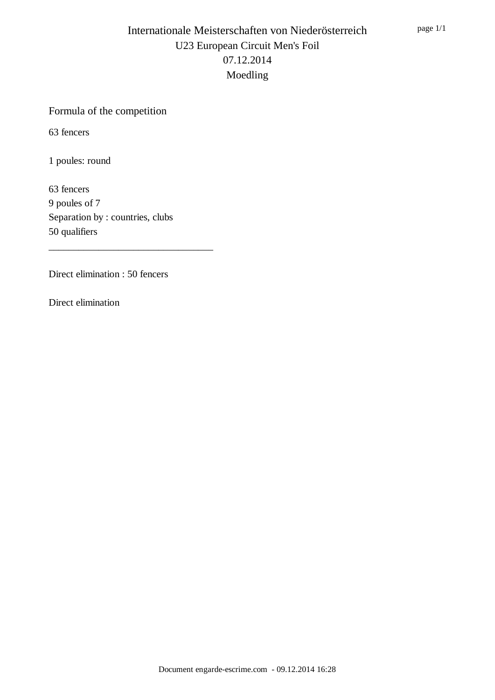# Formula of the competition

63 fencers

1 poules: round

63 fencers 9 poules of 7 Separation by : countries, clubs 50 qualifiers

\_\_\_\_\_\_\_\_\_\_\_\_\_\_\_\_\_\_\_\_\_\_\_\_\_\_\_\_\_\_\_\_\_

Direct elimination : 50 fencers

Direct elimination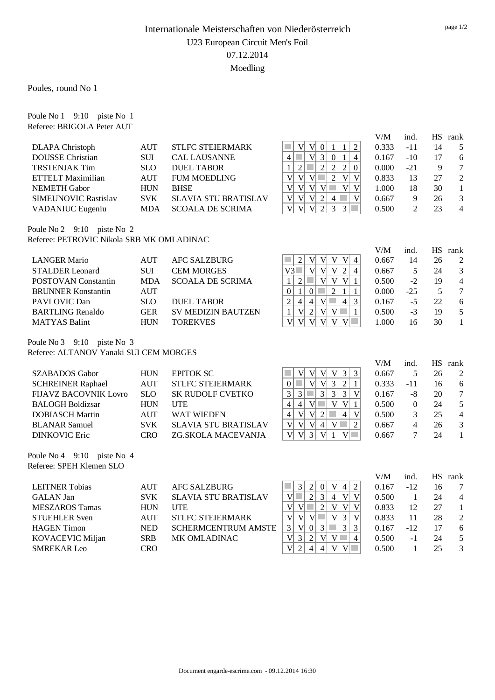Poules, round No 1

Poule No 1 9:10 piste No 1 Referee: BRIGOLA Peter AUT

|                                           |                             |                             |                                                                                                                               | V/M   | ind.           | <b>HS</b> | rank                     |
|-------------------------------------------|-----------------------------|-----------------------------|-------------------------------------------------------------------------------------------------------------------------------|-------|----------------|-----------|--------------------------|
| <b>DLAPA</b> Christoph                    | <b>AUT</b>                  | <b>STLFC STEIERMARK</b>     | V <sub>l</sub><br>$\overline{2}$<br>V<br>$\boldsymbol{0}$<br>$\mathbf{1}$<br>$\mathbf{1}$                                     | 0.333 | $-11$          | 14        | 5                        |
| <b>DOUSSE</b> Christian                   | <b>SUI</b>                  | <b>CAL LAUSANNE</b>         | $\overline{3}$<br>$\mathcal{L}_{\mathcal{A}}$<br> V <br>$\overline{0}$<br>$\mathbf{1}$<br>$\overline{4}$<br>$\overline{4}$    | 0.167 | $-10$          | 17        | 6                        |
| <b>TRSTENJAK Tim</b>                      | <b>SLO</b>                  | <b>DUEL TABOR</b>           | $\overline{2}$<br>$\overline{2}$<br>$\sqrt{2}$<br>$\sqrt{2}$<br>$\mathcal{L}_{\mathcal{A}}$<br>$\mathbf{0}$<br>$\mathbf{1}$   | 0.000 | $-21$          | 9         | $\overline{7}$           |
| <b>ETTELT Maximilian</b>                  | <b>AUT</b>                  | <b>FUM MOEDLING</b>         | $\overline{2}$<br>$\overline{V}$<br>V<br>V<br>$\mathcal{C}^{\mathcal{A}}$<br>$\overline{\mathsf{V}}$<br>V                     | 0.833 | 13             | 27        | $\overline{2}$           |
| <b>NEMETH Gabor</b>                       | ${\rm HUN}$                 | <b>BHSE</b>                 | $\mathbf{V}$<br> V <br>V<br> V <br>$\mathcal{C}^{\mathcal{A}}$<br>$\mathbf V$<br>V                                            | 1.000 | 18             | 30        | $\mathbf{1}$             |
| <b>SIMEUNOVIC Rastislav</b>               | <b>SVK</b>                  | <b>SLAVIA STU BRATISLAV</b> | $\overline{2}$<br>$\mathbf V$<br> V <br>$\overline{4}$<br>$\sim$<br>V<br>V                                                    | 0.667 | 9              | 26        | 3                        |
| VADANIUC Eugeniu                          | <b>MDA</b>                  | <b>SCOALA DE SCRIMA</b>     | $\overline{2}$<br>3<br>V<br>$\overline{V}$<br> V <br>3<br>$\mathcal{L}_{\mathcal{A}}$                                         | 0.500 | $\overline{2}$ | 23        | $\overline{4}$           |
| Poule No 2 9:10 piste No 2                |                             |                             |                                                                                                                               |       |                |           |                          |
| Referee: PETROVIC Nikola SRB MK OMLADINAC |                             |                             |                                                                                                                               |       |                |           |                          |
|                                           |                             |                             |                                                                                                                               | V/M   | ind.           | HS        | rank                     |
| <b>LANGER Mario</b>                       | <b>AUT</b>                  | <b>AFC SALZBURG</b>         | V <sub>l</sub><br>$\mathbf V$<br>V<br>$\overline{2}$<br> V <br>$\overline{4}$<br>in 1                                         | 0.667 | 14             | 26        | $\overline{2}$           |
| <b>STALDER</b> Leonard                    | <b>SUI</b>                  | <b>CEM MORGES</b>           | V <br>V<br>$\overline{V}$<br>$\overline{2}$<br>$\overline{4}$<br>V3                                                           | 0.667 | 5              | 24        | 3                        |
| POSTOVAN Constantin                       | <b>MDA</b>                  | <b>SCOALA DE SCRIMA</b>     | V <br>V<br>$\overline{2}$<br>$\mathcal{C}^{\mathcal{A}}$<br>V<br>$\mathbf{1}$<br>$\mathbf{1}$                                 | 0.500 | $-2$           | 19        | $\overline{\mathcal{L}}$ |
| <b>BRUNNER Konstantin</b>                 | <b>AUT</b>                  |                             | $\mathcal{C}^{\mathcal{A}}$<br>$\overline{2}$<br>$\mathbf{0}$<br>$\mathbf{1}$<br>$\mathbf{0}$<br>$\mathbf{1}$<br>$\mathbf{1}$ | 0.000 | $-25$          | 5         | $\overline{7}$           |
| PAVLOVIC Dan                              | <b>SLO</b>                  | <b>DUEL TABOR</b>           | $\overline{2}$<br>$\overline{4}$<br>$\overline{4}$<br>V<br>$\mathcal{L}_{\mathcal{A}}$<br>$\overline{4}$<br>$\overline{3}$    | 0.167 | $-5$           | 22        | 6                        |
| <b>BARTLING Renaldo</b>                   | <b>GER</b>                  | <b>SV MEDIZIN BAUTZEN</b>   | $\overline{2}$<br>V<br>V<br>V<br>$\mathbf{1}$<br>$\mathbf{1}$                                                                 | 0.500 | $-3$           | 19        | 5                        |
| <b>MATYAS Balint</b>                      | <b>HUN</b>                  | <b>TOREKVES</b>             | $\overline{V}$<br>$\mathbf{V}$<br> V <br>V<br>V <sub>l</sub><br>V                                                             | 1.000 | 16             | 30        | $\mathbf{1}$             |
| Poule No 3 9:10 piste No 3                |                             |                             |                                                                                                                               |       |                |           |                          |
| Referee: ALTANOV Yanaki SUI CEM MORGES    |                             |                             |                                                                                                                               |       |                |           |                          |
|                                           |                             |                             |                                                                                                                               | V/M   | ind.           | HS        | rank                     |
| <b>SZABADOS</b> Gabor                     | ${\rm HUN}$                 | <b>EPITOK SC</b>            | $\overline{3}$<br>V<br>V <sub>l</sub><br> V <br>$\overline{3}$<br>V                                                           | 0.667 | 5              | 26        | $\overline{2}$           |
| <b>SCHREINER Raphael</b>                  | <b>AUT</b>                  | <b>STLFC STEIERMARK</b>     | $\overline{3}$<br>$\mathbf{V}$<br>$\overline{2}$<br>$\mathcal{L}_{\mathcal{A}}$<br>V<br>$\mathbf{0}$<br>$\mathbf{1}$          | 0.333 | $-11$          | 16        | 6                        |
| <b>FIJAVZ BACOVNIK Lovro</b>              | <b>SLO</b>                  | <b>SK RUDOLF CVETKO</b>     | $\mathbb{R}^n$<br>3<br>3<br>3<br>$\overline{3}$<br>$\overline{3}$<br>$\overline{V}$                                           | 0.167 | $-8$           | 20        | $\overline{7}$           |
| <b>BALOGH Boldizsar</b>                   | <b>HUN</b>                  | <b>UTE</b>                  | V <br>$\mathcal{L}_{\mathcal{A}}$<br>$\overline{V}$<br>$\overline{4}$<br>$\overline{4}$<br>$\mathbf{V}$<br>$\mathbf{1}$       | 0.500 | $\mathbf{0}$   | 24        | 5                        |
| <b>DOBIASCH Martin</b>                    | <b>AUT</b>                  | WAT WIEDEN                  | $\overline{2}$<br>$\overline{4}$<br>V<br>V <sub>l</sub><br>$\mathcal{L}_{\mathcal{A}}$<br>V<br>$\overline{\mathcal{L}}$       | 0.500 | $\overline{3}$ | 25        | $\overline{4}$           |
| <b>BLANAR Samuel</b>                      | <b>SVK</b>                  | <b>SLAVIA STU BRATISLAV</b> | $\overline{\mathsf{V}}$<br>V<br> V <br>$\overline{4}$<br> V <br>$\sim$<br>2                                                   | 0.667 | $\overline{4}$ | 26        | 3                        |
| <b>DINKOVIC Eric</b>                      | <b>CRO</b>                  | ZG.SKOLA MACEVANJA          | $\overline{V}$<br>3<br>$\overline{\mathbf{V}}$<br>V<br>$\mathbf{1}$<br>V<br>a a                                               | 0.667 | $\tau$         | 24        | $\mathbf{1}$             |
| Poule No 4 9:10 piste No 4                |                             |                             |                                                                                                                               |       |                |           |                          |
| Referee: SPEH Klemen SLO                  |                             |                             |                                                                                                                               |       |                |           |                          |
|                                           |                             |                             |                                                                                                                               | V/M   | ind.           | <b>HS</b> | rank                     |
| <b>LEITNER Tobias</b>                     | <b>AUT</b>                  | <b>AFC SALZBURG</b>         | $\overline{2}$<br>V<br>$\overline{4}$<br>$\overline{3}$<br>$\boldsymbol{0}$<br>$\overline{2}$<br>$\mathcal{C}$                | 0.167 | $-12$          | 16        | 7                        |
| <b>GALAN</b> Jan                          | <b>SVK</b>                  | <b>SLAVIA STU BRATISLAV</b> | $\overline{V}$<br>$\overline{2}$<br>3<br>$\overline{4}$<br>V<br> V                                                            | 0.500 | $\mathbf{1}$   | 24        | $\overline{4}$           |
| <b>MESZAROS Tamas</b>                     | <b>HUN</b>                  | <b>UTE</b>                  | $\overline{2}$<br>$\overline{V}$<br>$\overline{\mathsf{V}}$<br>$\overline{\mathbf{V}}$<br>$\overline{\mathbf{V}}$<br>V<br>T.  | 0.833 | 12             | 27        | $\mathbf{1}$             |
| <b>STUEHLER Sven</b>                      | <b>AUT</b>                  | <b>STLFC STEIERMARK</b>     | $\overline{\mathsf{V}}$<br>$\mathfrak{Z}$<br>$\mathbf V$<br>V<br>$\mathcal{C}^{\mathcal{A}}$<br>$\mathbf V$<br>V              | 0.833 | 11             | 28        | $\overline{2}$           |
| <b>HAGEN</b> Timon                        | $\ensuremath{\mathsf{NED}}$ | <b>SCHERMCENTRUM AMSTE</b>  | $\overline{3}$<br>3<br>V<br>3<br>$\mathcal{L}_{\mathcal{A}}$<br>$\boldsymbol{0}$<br>$\mathfrak{Z}$                            | 0.167 | $-12$          | 17        | 6                        |
| KOVACEVIC Miljan                          | <b>SRB</b>                  | MK OMLADINAC                | $\overline{2}$<br>$\mathbf V$<br>V<br>$\mathfrak{Z}$<br>V<br>$\mathcal{L}_{\mathcal{A}}$<br>$\overline{4}$                    | 0.500 | $-1$           | 24        | 5                        |
| <b>SMREKAR Leo</b>                        | <b>CRO</b>                  |                             | $\overline{\mathsf{V}}$<br>$\overline{2}$<br>$\overline{4}$<br>$\overline{4}$<br>V<br> V <br>$\mathcal{L}_{\mathcal{A}}$      | 0.500 | $\mathbf{1}$   | 25        | 3                        |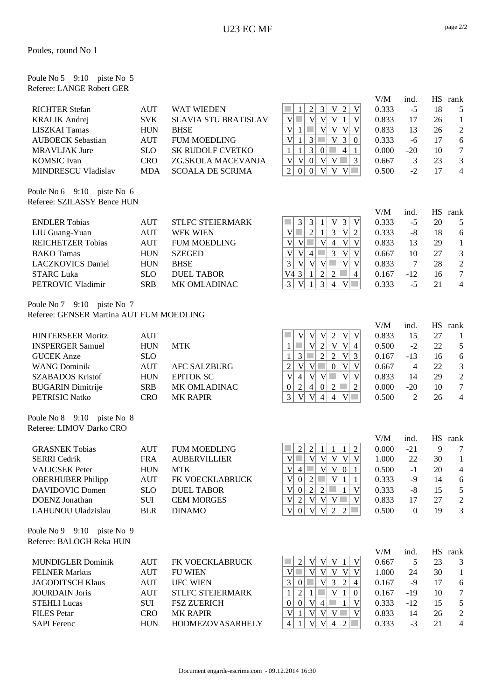| Poule No $5 \quad 9:10 \quad \text{piste No} \quad 5$ |  |  |
|-------------------------------------------------------|--|--|
| Referee: LANGE Robert GER                             |  |  |

|                                                           |            |                             |                                                                                                                                     | V/M   | ind.             | <b>HS</b> | rank           |
|-----------------------------------------------------------|------------|-----------------------------|-------------------------------------------------------------------------------------------------------------------------------------|-------|------------------|-----------|----------------|
| <b>RICHTER Stefan</b>                                     | <b>AUT</b> | <b>WAT WIEDEN</b>           | V <sub>1</sub><br>$\sqrt{2}$<br>V<br>$\boldsymbol{2}$<br>$\mathfrak{Z}$<br>1                                                        | 0.333 | $-5$             | 18        | 5              |
| <b>KRALIK Andrej</b>                                      | <b>SVK</b> | <b>SLAVIA STU BRATISLAV</b> | $V$ $\Box$<br>V<br> V <br> V <br>V <sub>l</sub><br>$\mathbf{1}$                                                                     | 0.833 | 17               | 26        | $\mathbf{1}$   |
| <b>LISZKAI Tamas</b>                                      | <b>HUN</b> | <b>BHSE</b>                 | $V _1$<br>T.<br> V <br>V <sub>l</sub><br>V V                                                                                        | 0.833 | 13               | 26        | $\mathfrak{2}$ |
| <b>AUBOECK Sebastian</b>                                  | <b>AUT</b> | <b>FUM MOEDLING</b>         | V<br>3<br>$\overline{3}$<br>п<br>V<br>$\mathbf{1}$<br>$\mathbf{0}$                                                                  | 0.333 | $-6$             | 17        | 6              |
| <b>MRAVLJAK Jure</b>                                      | <b>SLO</b> | SK RUDOLF CVETKO            | $\overline{3}$<br>$\mathcal{L}_{\mathcal{A}}$<br>$\overline{4}$<br>$\mathbf{1}$<br>$\mathbf{1}$<br>$\boldsymbol{0}$<br>$\mathbf{1}$ | 0.000 | $-20$            | 10        | $\tau$         |
| <b>KOMSIC</b> Ivan                                        | <b>CRO</b> | ZG.SKOLA MACEVANJA          | V<br>V <sub>1</sub><br>$ V $ $ V $<br> 0 <br>$\Box$ 3                                                                               | 0.667 | $\mathfrak{Z}$   | 23        | 3              |
| MINDRESCU Vladislav                                       | <b>MDA</b> | <b>SCOALA DE SCRIMA</b>     | V <br>$\mathfrak{2}$<br>$V$ $\Box$<br>$\overline{0}$<br>$\overline{0}$<br>V <sub>l</sub>                                            | 0.500 | $-2$             | 17        | $\overline{4}$ |
|                                                           |            |                             |                                                                                                                                     |       |                  |           |                |
| Poule No 6 9:10 piste No 6<br>Referee: SZILASSY Bence HUN |            |                             |                                                                                                                                     |       |                  |           |                |
|                                                           |            |                             |                                                                                                                                     | V/M   | ind.             | <b>HS</b> | rank           |
| <b>ENDLER Tobias</b>                                      | <b>AUT</b> | <b>STLFC STEIERMARK</b>     | $\overline{3}$<br>$\mathfrak{Z}$<br>3<br>V<br>V<br>1                                                                                | 0.333 | $-5$             | 20        | 5              |
| LIU Guang-Yuan                                            | <b>AUT</b> | <b>WFK WIEN</b>             | $\mathbf{V}$<br>$\overline{2}$<br>3<br>$\mathbf V$<br>$\sim$<br>1<br>$\overline{c}$                                                 | 0.333 | $-8$             | 18        | 6              |
| <b>REICHETZER Tobias</b>                                  | <b>AUT</b> | <b>FUM MOEDLING</b>         | $\mathbf{V}$<br>V<br> V <br>$\overline{V}$<br>V<br>$\overline{4}$                                                                   | 0.833 | 13               | 29        | $\mathbf{1}$   |
| <b>BAKO</b> Tamas                                         | <b>HUN</b> | <b>SZEGED</b>               | $\mathbf{V}$<br>$\overline{3}$<br>V<br>$\mathbf{V}$<br>$\sim$<br>$\mathbf V$<br>$\overline{4}$                                      | 0.667 | 10               | 27        | $\mathfrak{Z}$ |
| <b>LACZKOVICS Daniel</b>                                  | <b>HUN</b> | <b>BHSE</b>                 | 3<br>V<br> V <br>$\mathcal{L}_{\mathcal{A}}$<br>V<br>V<br> V                                                                        | 0.833 | $\overline{7}$   | 28        | $\overline{2}$ |
| <b>STARC Luka</b>                                         | <b>SLO</b> | <b>DUEL TABOR</b>           | V4 3<br>$\sqrt{2}$<br>$\overline{2}$<br>$\mathbf{1}$<br>T.<br>$\overline{4}$                                                        | 0.167 | $-12$            | 16        | $\tau$         |
|                                                           | <b>SRB</b> | MK OMLADINAC                | $\overline{3}$<br>$\overline{3}$<br>$\mathbf V$<br>$V\Box$<br>$\overline{4}$                                                        | 0.333 | $-5$             | 21        | $\overline{4}$ |
| PETROVIC Vladimir                                         |            |                             | $\mathbf{1}$                                                                                                                        |       |                  |           |                |
| Poule No 7 9:10 piste No 7                                |            |                             |                                                                                                                                     |       |                  |           |                |
| Referee: GENSER Martina AUT FUM MOEDLING                  |            |                             |                                                                                                                                     |       |                  |           |                |
|                                                           |            |                             |                                                                                                                                     | V/M   | ind.             | HS        | rank           |
| <b>HINTERSEER Moritz</b>                                  | <b>AUT</b> |                             | V <br>V V<br>$\mathbf V$<br>V<br>$\overline{2}$                                                                                     | 0.833 | 15               | 27        | $\mathbf{1}$   |
| <b>INSPERGER Samuel</b>                                   | <b>HUN</b> | <b>MTK</b>                  | $\mathbf{V}$<br>$\overline{2}$<br>V<br>V<br>$\overline{4}$<br>$\mathbf{1}$                                                          | 0.500 | $-2$             | 22        | $\sqrt{5}$     |
| <b>GUCEK</b> Anze                                         | <b>SLO</b> |                             | $\overline{2}$<br>$\overline{2}$<br> V <br>$\mathfrak{Z}$<br>$\mathcal{C}$<br>$\overline{3}$<br>$\mathbf{1}$                        | 0.167 | $-13$            | 16        | 6              |
| <b>WANG Dominik</b>                                       | <b>AUT</b> | <b>AFC SALZBURG</b>         | $\overline{2}$<br>$\overline{\mathsf{V}}$<br>$\overline{V}$<br>V<br>$\mathbf{0}$<br>V<br>a a                                        | 0.667 | $\overline{4}$   | 22        | $\mathfrak{Z}$ |
| <b>SZABADOS Kristof</b>                                   | <b>HUN</b> | <b>EPITOK SC</b>            | $\mathbf{V}$<br> V <br>V<br>V<br>T.<br>V<br>$\overline{4}$                                                                          | 0.833 | 14               | 29        | $\sqrt{2}$     |
| <b>BUGARIN Dimitrije</b>                                  | <b>SRB</b> | MK OMLADINAC                | $\sqrt{2}$<br>$\boldsymbol{0}$<br>$\overline{2}$<br>$\overline{2}$<br>$\overline{4}$<br>$\mathbf{0}$                                | 0.000 | $-20$            | 10        | $\overline{7}$ |
| PETRISIC Natko                                            | <b>CRO</b> | <b>MK RAPIR</b>             | $\overline{3}$<br>$\mathbf{V}$<br>V<br>$\overline{4}$<br>$\overline{4}$<br>V<br>$\mathcal{L}^{\mathcal{A}}$                         | 0.500 | $\overline{2}$   | 26        | $\overline{4}$ |
| Poule No 8 9:10 piste No 8                                |            |                             |                                                                                                                                     |       |                  |           |                |
| Referee: LIMOV Darko CRO                                  |            |                             |                                                                                                                                     |       |                  |           |                |
|                                                           |            |                             |                                                                                                                                     | V/M   | ind.             |           | HS rank        |
| <b>GRASNEK Tobias</b>                                     | <b>AUT</b> | <b>FUM MOEDLING</b>         | $\overline{2}$<br>$\overline{2}$<br>$\mathbf{1}$<br>$\overline{2}$<br>$\mathbf{1}$<br>1                                             | 0.000 | $-21$            | 9         | $\tau$         |
| <b>SERRI</b> Cedrik                                       | <b>FRA</b> | <b>AUBERVILLIER</b>         | $V$ $\Box$<br> V V V V V                                                                                                            | 1.000 | 22               | 30        | $\mathbf{1}$   |
| <b>VALICSEK Peter</b>                                     | <b>HUN</b> | <b>MTK</b>                  | $\overline{V}$ 4 $\overline{V}$ $\overline{V}$ $\overline{V}$ $\overline{O}$ 1                                                      | 0.500 | $-1$             | 20        | $\overline{4}$ |
| <b>OBERHUBER Philipp</b>                                  | <b>AUT</b> | FK VOECKLABRUCK             | V 0<br>$\overline{2}$<br>T<br> V <br>$\mathbf{1}$<br>$\mathbf{1}$                                                                   | 0.333 | $-9$             | 14        |                |
|                                                           |            |                             | V <sub>1</sub><br>V<br>$\mathcal{L}^{\mathcal{L}}$                                                                                  |       |                  |           | 6              |
| <b>DAVIDOVIC Domen</b>                                    | <b>SLO</b> | <b>DUEL TABOR</b>           | $\mathbf{0}$<br>2<br>$\overline{2}$<br>$\mathbf{1}$                                                                                 | 0.333 | $-8$             | 15        | $\overline{5}$ |
| <b>DOENZ</b> Jonathan                                     | $\rm SUI$  | <b>CEM MORGES</b>           | V<br> V <br>$\overline{2}$<br>$ V $ $ V $<br>V<br><b>College</b>                                                                    | 0.833 | 17               | 27        | $\mathbf{2}$   |
| LAHUNOU Uladzislau                                        | <b>BLR</b> | <b>DINAMO</b>               | $\mathbf{V}$<br>V<br> V <br>$\overline{2}$<br>$\boldsymbol{0}$<br>$\overline{2}$<br><b>COL</b>                                      | 0.500 | $\boldsymbol{0}$ | 19        | 3              |
| Poule No 9 9:10 piste No 9                                |            |                             |                                                                                                                                     |       |                  |           |                |
| Referee: BALOGH Reka HUN                                  |            |                             |                                                                                                                                     |       |                  |           |                |
|                                                           |            |                             |                                                                                                                                     | V/M   | ind.             |           | HS rank        |
| <b>MUNDIGLER Dominik</b>                                  | <b>AUT</b> | FK VOECKLABRUCK             | V <sub>l</sub><br>V <sub>1</sub><br> V <br>$\overline{2}$<br>1<br>V                                                                 | 0.667 | 5                | 23        | 3              |
| <b>FELNER Markus</b>                                      | <b>AUT</b> | <b>FU WIEN</b>              | V<br>V<br>V<br>V<br>V <sub>l</sub><br>V                                                                                             | 1.000 | 24               | 30        | $\mathbf{1}$   |
| <b>JAGODITSCH Klaus</b>                                   | <b>AUT</b> | <b>UFC WIEN</b>             | $\mathcal{L}_{\mathcal{A}}$<br>3<br>V<br>3<br>$\sqrt{2}$<br> 0 <br>$\overline{4}$                                                   | 0.167 | $-9$             | 17        | 6              |
| <b>JOURDAIN</b> Joris                                     | <b>AUT</b> | STLFC STEIERMARK            | $\overline{2}$<br>V <sub>l</sub><br>$\mathbf{1}$<br>$\boldsymbol{0}$<br>1<br>$\mathbf{1}$                                           | 0.167 | $-19$            | 10        | $\tau$         |
| <b>STEHLI Lucas</b>                                       | SUI        | <b>FSZ ZUERICH</b>          | $\boldsymbol{0}$<br> V <br>$\overline{4}$<br>V<br>$\boldsymbol{0}$<br>$\mathbf{1}$                                                  | 0.333 | $-12$            | 15        | 5              |
| <b>FILES</b> Petar                                        | <b>CRO</b> | <b>MK RAPIR</b>             | V<br>a a<br>$V _1$<br>$ V $ $ V $<br>V                                                                                              | 0.833 | 14               | 26        | $\overline{c}$ |
| <b>SAPI</b> Ferenc                                        | <b>HUN</b> | <b>HODMEZOVASARHELY</b>     | V<br>$\mathcal{L}^{\mathcal{L}}$<br> V <br>$\overline{2}$<br>$\overline{4}$<br>$\overline{4}$<br>1                                  | 0.333 | $-3$             | 21        | $\overline{4}$ |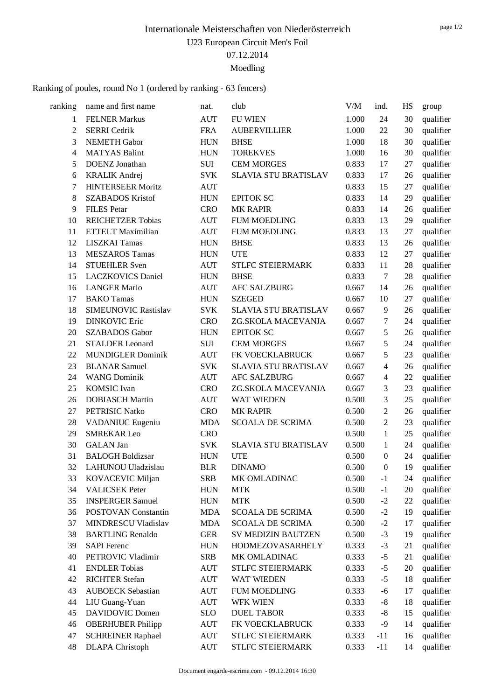#### Ranking of poules, round No 1 (ordered by ranking - 63 fencers)

| <b>FELNER Markus</b><br><b>SERRI</b> Cedrik<br><b>NEMETH Gabor</b><br><b>MATYAS Balint</b><br>DOENZ Jonathan<br><b>KRALIK Andrej</b><br><b>HINTERSEER Moritz</b><br><b>SZABADOS Kristof</b> | <b>AUT</b><br><b>FRA</b><br><b>HUN</b><br><b>HUN</b><br>SUI<br><b>SVK</b><br><b>AUT</b>                                                                                                                                                                                                                                                                                                                                                                                                                                                                                                                                                                                                                                                                                                                                                                                                                               | <b>FU WIEN</b><br><b>AUBERVILLIER</b><br><b>BHSE</b><br><b>TOREKVES</b><br><b>CEM MORGES</b><br>SLAVIA STU BRATISLAV                                                                                                          | 1.000<br>1.000<br>1.000<br>1.000<br>0.833               | 24<br>22<br>18<br>16             | 30<br>30<br>30<br>30                                                                                 | qualifier<br>qualifier<br>qualifier |
|---------------------------------------------------------------------------------------------------------------------------------------------------------------------------------------------|-----------------------------------------------------------------------------------------------------------------------------------------------------------------------------------------------------------------------------------------------------------------------------------------------------------------------------------------------------------------------------------------------------------------------------------------------------------------------------------------------------------------------------------------------------------------------------------------------------------------------------------------------------------------------------------------------------------------------------------------------------------------------------------------------------------------------------------------------------------------------------------------------------------------------|-------------------------------------------------------------------------------------------------------------------------------------------------------------------------------------------------------------------------------|---------------------------------------------------------|----------------------------------|------------------------------------------------------------------------------------------------------|-------------------------------------|
|                                                                                                                                                                                             |                                                                                                                                                                                                                                                                                                                                                                                                                                                                                                                                                                                                                                                                                                                                                                                                                                                                                                                       |                                                                                                                                                                                                                               |                                                         |                                  |                                                                                                      |                                     |
|                                                                                                                                                                                             |                                                                                                                                                                                                                                                                                                                                                                                                                                                                                                                                                                                                                                                                                                                                                                                                                                                                                                                       |                                                                                                                                                                                                                               |                                                         |                                  |                                                                                                      |                                     |
|                                                                                                                                                                                             |                                                                                                                                                                                                                                                                                                                                                                                                                                                                                                                                                                                                                                                                                                                                                                                                                                                                                                                       |                                                                                                                                                                                                                               |                                                         |                                  |                                                                                                      |                                     |
|                                                                                                                                                                                             |                                                                                                                                                                                                                                                                                                                                                                                                                                                                                                                                                                                                                                                                                                                                                                                                                                                                                                                       |                                                                                                                                                                                                                               |                                                         |                                  |                                                                                                      | qualifier                           |
|                                                                                                                                                                                             |                                                                                                                                                                                                                                                                                                                                                                                                                                                                                                                                                                                                                                                                                                                                                                                                                                                                                                                       |                                                                                                                                                                                                                               |                                                         | 17                               | 27                                                                                                   | qualifier                           |
|                                                                                                                                                                                             |                                                                                                                                                                                                                                                                                                                                                                                                                                                                                                                                                                                                                                                                                                                                                                                                                                                                                                                       |                                                                                                                                                                                                                               | 0.833                                                   | 17                               | 26                                                                                                   | qualifier                           |
|                                                                                                                                                                                             |                                                                                                                                                                                                                                                                                                                                                                                                                                                                                                                                                                                                                                                                                                                                                                                                                                                                                                                       |                                                                                                                                                                                                                               | 0.833                                                   | 15                               | 27                                                                                                   | qualifier                           |
|                                                                                                                                                                                             | <b>HUN</b>                                                                                                                                                                                                                                                                                                                                                                                                                                                                                                                                                                                                                                                                                                                                                                                                                                                                                                            | <b>EPITOK SC</b>                                                                                                                                                                                                              | 0.833                                                   | 14                               | 29                                                                                                   | qualifier                           |
| <b>FILES</b> Petar                                                                                                                                                                          | <b>CRO</b>                                                                                                                                                                                                                                                                                                                                                                                                                                                                                                                                                                                                                                                                                                                                                                                                                                                                                                            | <b>MK RAPIR</b>                                                                                                                                                                                                               | 0.833                                                   | 14                               | 26                                                                                                   | qualifier                           |
| <b>REICHETZER Tobias</b>                                                                                                                                                                    | <b>AUT</b>                                                                                                                                                                                                                                                                                                                                                                                                                                                                                                                                                                                                                                                                                                                                                                                                                                                                                                            | <b>FUM MOEDLING</b>                                                                                                                                                                                                           | 0.833                                                   | 13                               | 29                                                                                                   | qualifier                           |
|                                                                                                                                                                                             | <b>AUT</b>                                                                                                                                                                                                                                                                                                                                                                                                                                                                                                                                                                                                                                                                                                                                                                                                                                                                                                            | <b>FUM MOEDLING</b>                                                                                                                                                                                                           | 0.833                                                   | 13                               | 27                                                                                                   | qualifier                           |
|                                                                                                                                                                                             |                                                                                                                                                                                                                                                                                                                                                                                                                                                                                                                                                                                                                                                                                                                                                                                                                                                                                                                       | <b>BHSE</b>                                                                                                                                                                                                                   | 0.833                                                   | 13                               | 26                                                                                                   | qualifier                           |
|                                                                                                                                                                                             |                                                                                                                                                                                                                                                                                                                                                                                                                                                                                                                                                                                                                                                                                                                                                                                                                                                                                                                       | <b>UTE</b>                                                                                                                                                                                                                    | 0.833                                                   | 12                               | 27                                                                                                   | qualifier                           |
|                                                                                                                                                                                             | <b>AUT</b>                                                                                                                                                                                                                                                                                                                                                                                                                                                                                                                                                                                                                                                                                                                                                                                                                                                                                                            | STLFC STEIERMARK                                                                                                                                                                                                              | 0.833                                                   | 11                               | 28                                                                                                   | qualifier                           |
|                                                                                                                                                                                             |                                                                                                                                                                                                                                                                                                                                                                                                                                                                                                                                                                                                                                                                                                                                                                                                                                                                                                                       | <b>BHSE</b>                                                                                                                                                                                                                   | 0.833                                                   | $\tau$                           | 28                                                                                                   | qualifier                           |
|                                                                                                                                                                                             | <b>AUT</b>                                                                                                                                                                                                                                                                                                                                                                                                                                                                                                                                                                                                                                                                                                                                                                                                                                                                                                            | <b>AFC SALZBURG</b>                                                                                                                                                                                                           | 0.667                                                   | 14                               | 26                                                                                                   | qualifier                           |
|                                                                                                                                                                                             |                                                                                                                                                                                                                                                                                                                                                                                                                                                                                                                                                                                                                                                                                                                                                                                                                                                                                                                       | <b>SZEGED</b>                                                                                                                                                                                                                 | 0.667                                                   | 10                               | 27                                                                                                   | qualifier                           |
|                                                                                                                                                                                             | <b>SVK</b>                                                                                                                                                                                                                                                                                                                                                                                                                                                                                                                                                                                                                                                                                                                                                                                                                                                                                                            | <b>SLAVIA STU BRATISLAV</b>                                                                                                                                                                                                   | 0.667                                                   | 9                                | 26                                                                                                   | qualifier                           |
|                                                                                                                                                                                             |                                                                                                                                                                                                                                                                                                                                                                                                                                                                                                                                                                                                                                                                                                                                                                                                                                                                                                                       | ZG.SKOLA MACEVANJA                                                                                                                                                                                                            | 0.667                                                   | 7                                | 24                                                                                                   | qualifier                           |
|                                                                                                                                                                                             |                                                                                                                                                                                                                                                                                                                                                                                                                                                                                                                                                                                                                                                                                                                                                                                                                                                                                                                       | <b>EPITOK SC</b>                                                                                                                                                                                                              | 0.667                                                   | 5                                | 26                                                                                                   | qualifier                           |
|                                                                                                                                                                                             | SUI                                                                                                                                                                                                                                                                                                                                                                                                                                                                                                                                                                                                                                                                                                                                                                                                                                                                                                                   | <b>CEM MORGES</b>                                                                                                                                                                                                             | 0.667                                                   | 5                                | 24                                                                                                   | qualifier                           |
|                                                                                                                                                                                             | <b>AUT</b>                                                                                                                                                                                                                                                                                                                                                                                                                                                                                                                                                                                                                                                                                                                                                                                                                                                                                                            | FK VOECKLABRUCK                                                                                                                                                                                                               | 0.667                                                   | 5                                | 23                                                                                                   | qualifier                           |
|                                                                                                                                                                                             | <b>SVK</b>                                                                                                                                                                                                                                                                                                                                                                                                                                                                                                                                                                                                                                                                                                                                                                                                                                                                                                            | <b>SLAVIA STU BRATISLAV</b>                                                                                                                                                                                                   | 0.667                                                   | 4                                | 26                                                                                                   | qualifier                           |
|                                                                                                                                                                                             |                                                                                                                                                                                                                                                                                                                                                                                                                                                                                                                                                                                                                                                                                                                                                                                                                                                                                                                       |                                                                                                                                                                                                                               | 0.667                                                   |                                  | 22                                                                                                   | qualifier                           |
|                                                                                                                                                                                             |                                                                                                                                                                                                                                                                                                                                                                                                                                                                                                                                                                                                                                                                                                                                                                                                                                                                                                                       |                                                                                                                                                                                                                               |                                                         |                                  | 23                                                                                                   | qualifier                           |
|                                                                                                                                                                                             |                                                                                                                                                                                                                                                                                                                                                                                                                                                                                                                                                                                                                                                                                                                                                                                                                                                                                                                       |                                                                                                                                                                                                                               |                                                         |                                  | 25                                                                                                   | qualifier                           |
|                                                                                                                                                                                             |                                                                                                                                                                                                                                                                                                                                                                                                                                                                                                                                                                                                                                                                                                                                                                                                                                                                                                                       | <b>MK RAPIR</b>                                                                                                                                                                                                               |                                                         |                                  |                                                                                                      | qualifier                           |
|                                                                                                                                                                                             |                                                                                                                                                                                                                                                                                                                                                                                                                                                                                                                                                                                                                                                                                                                                                                                                                                                                                                                       | <b>SCOALA DE SCRIMA</b>                                                                                                                                                                                                       |                                                         | $\overline{2}$                   | 23                                                                                                   | qualifier                           |
|                                                                                                                                                                                             | <b>CRO</b>                                                                                                                                                                                                                                                                                                                                                                                                                                                                                                                                                                                                                                                                                                                                                                                                                                                                                                            |                                                                                                                                                                                                                               | 0.500                                                   | $\mathbf{1}$                     | 25                                                                                                   | qualifier                           |
|                                                                                                                                                                                             | <b>SVK</b>                                                                                                                                                                                                                                                                                                                                                                                                                                                                                                                                                                                                                                                                                                                                                                                                                                                                                                            | <b>SLAVIA STU BRATISLAV</b>                                                                                                                                                                                                   | 0.500                                                   | 1                                | 24                                                                                                   | qualifier                           |
|                                                                                                                                                                                             |                                                                                                                                                                                                                                                                                                                                                                                                                                                                                                                                                                                                                                                                                                                                                                                                                                                                                                                       | <b>UTE</b>                                                                                                                                                                                                                    | 0.500                                                   | $\boldsymbol{0}$                 | 24                                                                                                   | qualifier                           |
|                                                                                                                                                                                             | <b>BLR</b>                                                                                                                                                                                                                                                                                                                                                                                                                                                                                                                                                                                                                                                                                                                                                                                                                                                                                                            | <b>DINAMO</b>                                                                                                                                                                                                                 | 0.500                                                   | $\boldsymbol{0}$                 | 19                                                                                                   | qualifier                           |
|                                                                                                                                                                                             | <b>SRB</b>                                                                                                                                                                                                                                                                                                                                                                                                                                                                                                                                                                                                                                                                                                                                                                                                                                                                                                            | MK OMLADINAC                                                                                                                                                                                                                  | 0.500                                                   | $-1$                             | 24                                                                                                   | qualifier                           |
|                                                                                                                                                                                             |                                                                                                                                                                                                                                                                                                                                                                                                                                                                                                                                                                                                                                                                                                                                                                                                                                                                                                                       | <b>MTK</b>                                                                                                                                                                                                                    | 0.500                                                   | $-1$                             | 20                                                                                                   | qualifier                           |
|                                                                                                                                                                                             |                                                                                                                                                                                                                                                                                                                                                                                                                                                                                                                                                                                                                                                                                                                                                                                                                                                                                                                       | <b>MTK</b>                                                                                                                                                                                                                    | 0.500                                                   | $-2$                             | 22                                                                                                   | qualifier                           |
|                                                                                                                                                                                             |                                                                                                                                                                                                                                                                                                                                                                                                                                                                                                                                                                                                                                                                                                                                                                                                                                                                                                                       | <b>SCOALA DE SCRIMA</b>                                                                                                                                                                                                       | 0.500                                                   | $-2$                             | 19                                                                                                   | qualifier                           |
|                                                                                                                                                                                             | <b>MDA</b>                                                                                                                                                                                                                                                                                                                                                                                                                                                                                                                                                                                                                                                                                                                                                                                                                                                                                                            | <b>SCOALA DE SCRIMA</b>                                                                                                                                                                                                       | 0.500                                                   | $-2$                             | 17                                                                                                   | qualifier                           |
|                                                                                                                                                                                             | <b>GER</b>                                                                                                                                                                                                                                                                                                                                                                                                                                                                                                                                                                                                                                                                                                                                                                                                                                                                                                            | SV MEDIZIN BAUTZEN                                                                                                                                                                                                            | 0.500                                                   | $-3$                             | 19                                                                                                   | qualifier                           |
|                                                                                                                                                                                             |                                                                                                                                                                                                                                                                                                                                                                                                                                                                                                                                                                                                                                                                                                                                                                                                                                                                                                                       | <b>HODMEZOVASARHELY</b>                                                                                                                                                                                                       | 0.333                                                   | $-3$                             | 21                                                                                                   | qualifier                           |
|                                                                                                                                                                                             | <b>SRB</b>                                                                                                                                                                                                                                                                                                                                                                                                                                                                                                                                                                                                                                                                                                                                                                                                                                                                                                            | MK OMLADINAC                                                                                                                                                                                                                  | 0.333                                                   | $-5$                             | 21                                                                                                   | qualifier                           |
|                                                                                                                                                                                             | <b>AUT</b>                                                                                                                                                                                                                                                                                                                                                                                                                                                                                                                                                                                                                                                                                                                                                                                                                                                                                                            | STLFC STEIERMARK                                                                                                                                                                                                              | 0.333                                                   | $-5$                             | 20                                                                                                   | qualifier                           |
|                                                                                                                                                                                             | <b>AUT</b>                                                                                                                                                                                                                                                                                                                                                                                                                                                                                                                                                                                                                                                                                                                                                                                                                                                                                                            | WAT WIEDEN                                                                                                                                                                                                                    | 0.333                                                   | $-5$                             | 18                                                                                                   | qualifier                           |
|                                                                                                                                                                                             | <b>AUT</b>                                                                                                                                                                                                                                                                                                                                                                                                                                                                                                                                                                                                                                                                                                                                                                                                                                                                                                            | <b>FUM MOEDLING</b>                                                                                                                                                                                                           | 0.333                                                   | $-6$                             | 17                                                                                                   | qualifier                           |
|                                                                                                                                                                                             | <b>AUT</b>                                                                                                                                                                                                                                                                                                                                                                                                                                                                                                                                                                                                                                                                                                                                                                                                                                                                                                            | WFK WIEN                                                                                                                                                                                                                      | 0.333                                                   | $-8$                             | 18                                                                                                   | qualifier                           |
|                                                                                                                                                                                             | <b>SLO</b>                                                                                                                                                                                                                                                                                                                                                                                                                                                                                                                                                                                                                                                                                                                                                                                                                                                                                                            | <b>DUEL TABOR</b>                                                                                                                                                                                                             | 0.333                                                   | $-8$                             | 15                                                                                                   | qualifier                           |
|                                                                                                                                                                                             | <b>AUT</b>                                                                                                                                                                                                                                                                                                                                                                                                                                                                                                                                                                                                                                                                                                                                                                                                                                                                                                            | FK VOECKLABRUCK                                                                                                                                                                                                               | 0.333                                                   | $-9$                             | 14                                                                                                   | qualifier                           |
|                                                                                                                                                                                             | <b>AUT</b>                                                                                                                                                                                                                                                                                                                                                                                                                                                                                                                                                                                                                                                                                                                                                                                                                                                                                                            | STLFC STEIERMARK                                                                                                                                                                                                              | 0.333                                                   | $-11$                            | 16                                                                                                   | qualifier                           |
|                                                                                                                                                                                             |                                                                                                                                                                                                                                                                                                                                                                                                                                                                                                                                                                                                                                                                                                                                                                                                                                                                                                                       |                                                                                                                                                                                                                               |                                                         |                                  | 14                                                                                                   | qualifier                           |
|                                                                                                                                                                                             | <b>ETTELT Maximilian</b><br><b>LISZKAI Tamas</b><br><b>MESZAROS Tamas</b><br><b>STUEHLER Sven</b><br><b>LACZKOVICS Daniel</b><br><b>LANGER Mario</b><br><b>BAKO</b> Tamas<br><b>SIMEUNOVIC Rastislav</b><br><b>DINKOVIC Eric</b><br><b>SZABADOS</b> Gabor<br><b>STALDER</b> Leonard<br><b>MUNDIGLER Dominik</b><br><b>BLANAR Samuel</b><br><b>WANG Dominik</b><br><b>KOMSIC</b> Ivan<br><b>DOBIASCH Martin</b><br>PETRISIC Natko<br>VADANIUC Eugeniu<br><b>SMREKAR Leo</b><br><b>GALAN</b> Jan<br><b>BALOGH Boldizsar</b><br>LAHUNOU Uladzislau<br>KOVACEVIC Miljan<br><b>VALICSEK Peter</b><br><b>INSPERGER Samuel</b><br>POSTOVAN Constantin<br>MINDRESCU Vladislav<br><b>BARTLING Renaldo</b><br><b>SAPI</b> Ferenc<br>PETROVIC Vladimir<br><b>ENDLER Tobias</b><br><b>RICHTER Stefan</b><br><b>AUBOECK Sebastian</b><br>LIU Guang-Yuan<br>DAVIDOVIC Domen<br><b>OBERHUBER Philipp</b><br><b>SCHREINER Raphael</b> | <b>HUN</b><br>${\rm HUN}$<br><b>HUN</b><br><b>HUN</b><br><b>CRO</b><br><b>HUN</b><br><b>AUT</b><br><b>CRO</b><br><b>AUT</b><br><b>CRO</b><br><b>MDA</b><br><b>HUN</b><br><b>HUN</b><br><b>HUN</b><br><b>MDA</b><br><b>HUN</b> | <b>AFC SALZBURG</b><br>ZG.SKOLA MACEVANJA<br>WAT WIEDEN | 0.667<br>0.500<br>0.500<br>0.500 | 4<br>3<br>3<br>$\mathfrak{2}$<br><b>DLAPA</b> Christoph<br>STLFC STEIERMARK<br>AUT<br>0.333<br>$-11$ | 26                                  |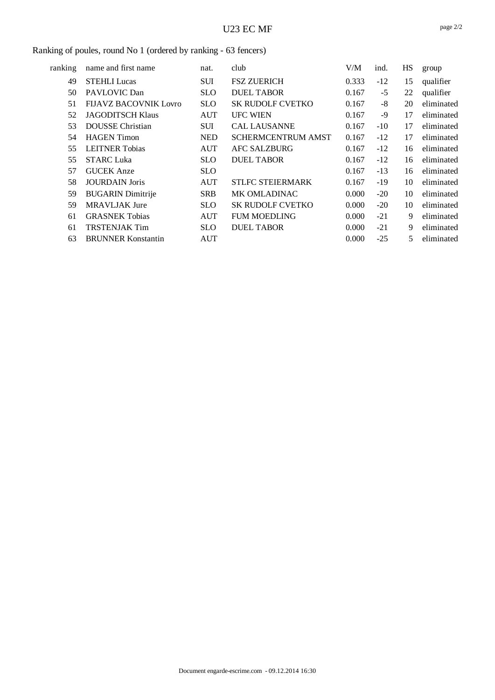#### Ranking of poules, round No 1 (ordered by ranking - 63 fencers)

| ranking | name and first name       | nat.       | club                      | V/M   | ind.  | HS | group      |
|---------|---------------------------|------------|---------------------------|-------|-------|----|------------|
| 49      | <b>STEHLI Lucas</b>       | <b>SUI</b> | <b>FSZ ZUERICH</b>        | 0.333 | $-12$ | 15 | qualifier  |
| 50      | PAVLOVIC Dan              | <b>SLO</b> | <b>DUEL TABOR</b>         | 0.167 | $-5$  | 22 | qualifier  |
| 51      | FIJAVZ BACOVNIK Lovro     | SLO.       | <b>SK RUDOLF CVETKO</b>   | 0.167 | $-8$  | 20 | eliminated |
| 52      | <b>JAGODITSCH Klaus</b>   | <b>AUT</b> | <b>UFC WIEN</b>           | 0.167 | -9    | 17 | eliminated |
| 53      | <b>DOUSSE</b> Christian   | <b>SUI</b> | <b>CAL LAUSANNE</b>       | 0.167 | $-10$ | 17 | eliminated |
| 54      | <b>HAGEN</b> Timon        | <b>NED</b> | <b>SCHERMCENTRUM AMST</b> | 0.167 | $-12$ | 17 | eliminated |
| 55      | <b>LEITNER Tobias</b>     | <b>AUT</b> | <b>AFC SALZBURG</b>       | 0.167 | $-12$ | 16 | eliminated |
| 55      | <b>STARC Luka</b>         | <b>SLO</b> | <b>DUEL TABOR</b>         | 0.167 | $-12$ | 16 | eliminated |
| 57      | <b>GUCEK</b> Anze         | <b>SLO</b> |                           | 0.167 | $-13$ | 16 | eliminated |
| 58      | <b>JOURDAIN</b> Joris     | <b>AUT</b> | <b>STLFC STEIERMARK</b>   | 0.167 | $-19$ | 10 | eliminated |
| 59      | <b>BUGARIN</b> Dimitrije  | <b>SRB</b> | <b>MK OMLADINAC</b>       | 0.000 | $-20$ | 10 | eliminated |
| 59      | <b>MRAVLJAK Jure</b>      | SLO.       | <b>SK RUDOLF CVETKO</b>   | 0.000 | $-20$ | 10 | eliminated |
| 61      | <b>GRASNEK Tobias</b>     | <b>AUT</b> | <b>FUM MOEDLING</b>       | 0.000 | $-21$ | 9  | eliminated |
| 61      | <b>TRSTENJAK Tim</b>      | <b>SLO</b> | <b>DUEL TABOR</b>         | 0.000 | $-21$ | 9  | eliminated |
| 63      | <b>BRUNNER Konstantin</b> | AUT        |                           | 0.000 | $-25$ | 5  | eliminated |
|         |                           |            |                           |       |       |    |            |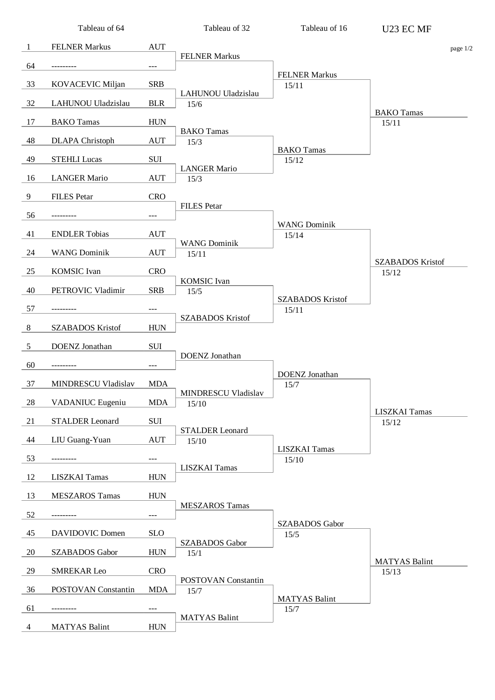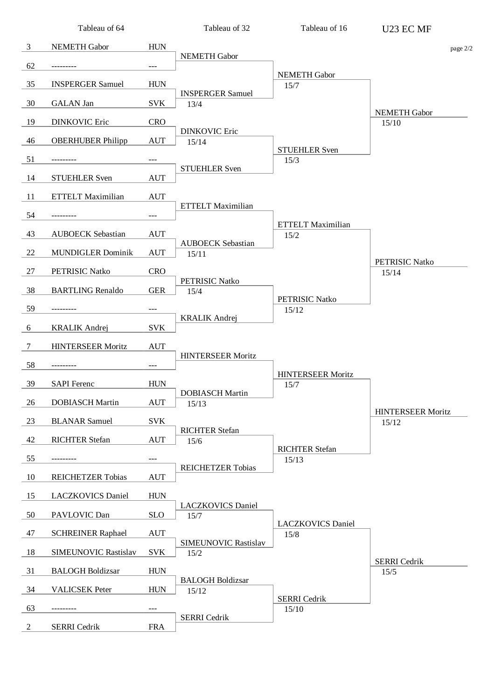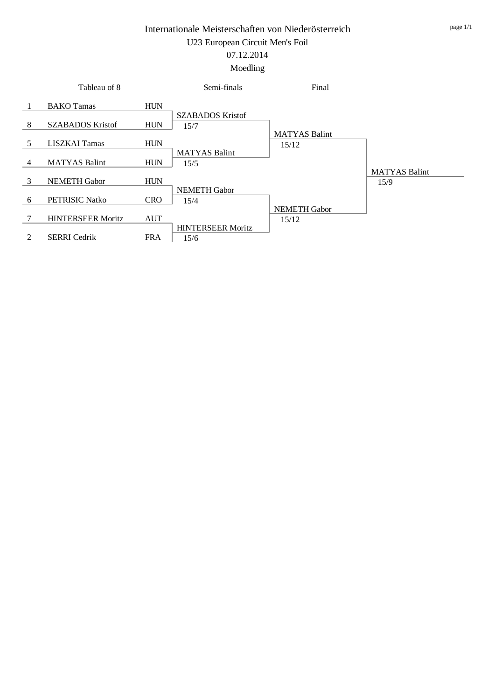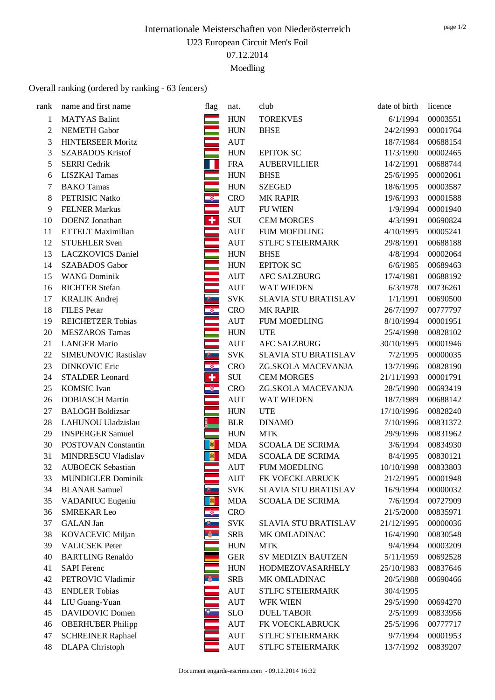# Overall ranking (ordered by ranking - 63 fencers)

| rank           | name and first name                         | flag                    |                                  | club                        | date of birth | licence  |
|----------------|---------------------------------------------|-------------------------|----------------------------------|-----------------------------|---------------|----------|
|                |                                             |                         | nat.                             |                             |               |          |
| 1              | <b>MATYAS Balint</b><br><b>NEMETH Gabor</b> |                         | <b>HUN</b>                       | <b>TOREKVES</b>             | 6/1/1994      | 00003551 |
| $\overline{2}$ |                                             | an<br>Tan               | <b>HUN</b>                       | <b>BHSE</b>                 | 24/2/1993     | 00001764 |
| 3              | <b>HINTERSEER Moritz</b>                    |                         | <b>AUT</b>                       |                             | 18/7/1984     | 00688154 |
| 3              | <b>SZABADOS Kristof</b>                     | er<br>He                | <b>HUN</b>                       | <b>EPITOK SC</b>            | 11/3/1990     | 00002465 |
| 5              | <b>SERRI</b> Cedrik                         | П                       | <b>FRA</b>                       | <b>AUBERVILLIER</b>         | 14/2/1991     | 00688744 |
| 6              | <b>LISZKAI Tamas</b>                        |                         | <b>HUN</b>                       | <b>BHSE</b>                 | 25/6/1995     | 00002061 |
| 7              | <b>BAKO</b> Tamas                           | $\frac{1}{2}$           | <b>HUN</b>                       | <b>SZEGED</b>               | 18/6/1995     | 00003587 |
| 8              | PETRISIC Natko                              |                         | <b>CRO</b>                       | <b>MK RAPIR</b>             | 19/6/1993     | 00001588 |
| 9              | <b>FELNER Markus</b>                        |                         | $\mathop{\rm AUT}$               | <b>FU WIEN</b>              | 1/9/1994      | 00001940 |
| 10             | DOENZ Jonathan                              | Ŧ                       | SUI                              | <b>CEM MORGES</b>           | 4/3/1991      | 00690824 |
| 11             | <b>ETTELT Maximilian</b>                    | ÷,                      | $\mathop{\rm AUT}$               | <b>FUM MOEDLING</b>         | 4/10/1995     | 00005241 |
| 12             | <b>STUEHLER Sven</b>                        |                         | $\mathbf{A}\mathbf{U}\mathbf{T}$ | STLFC STEIERMARK            | 29/8/1991     | 00688188 |
| 13             | <b>LACZKOVICS Daniel</b>                    |                         | <b>HUN</b>                       | <b>BHSE</b>                 | 4/8/1994      | 00002064 |
| 14             | <b>SZABADOS</b> Gabor                       |                         | <b>HUN</b>                       | <b>EPITOK SC</b>            | 6/6/1985      | 00689463 |
| 15             | <b>WANG Dominik</b>                         | ÷,                      | <b>AUT</b>                       | <b>AFC SALZBURG</b>         | 17/4/1981     | 00688192 |
| 16             | <b>RICHTER Stefan</b>                       |                         | $\mathbf{A}\mathbf{U}\mathbf{T}$ | <b>WAT WIEDEN</b>           | 6/3/1978      | 00736261 |
| 17             | <b>KRALIK Andrej</b>                        | U                       | <b>SVK</b>                       | SLAVIA STU BRATISLAV        | 1/1/1991      | 00690500 |
| 18             | <b>FILES</b> Petar                          | $\circledast$           | <b>CRO</b>                       | <b>MK RAPIR</b>             | 26/7/1997     | 00777797 |
| 19             | <b>REICHETZER Tobias</b>                    |                         | $\mathop{\rm AUT}$               | <b>FUM MOEDLING</b>         | 8/10/1994     | 00001951 |
| 20             | <b>MESZAROS Tamas</b>                       |                         | <b>HUN</b>                       | <b>UTE</b>                  | 25/4/1998     | 00828102 |
| 21             | <b>LANGER Mario</b>                         | ÷                       | $\mathop{\rm AUT}$               | <b>AFC SALZBURG</b>         | 30/10/1995    | 00001946 |
| 22             | SIMEUNOVIC Rastislav                        | க                       | <b>SVK</b>                       | <b>SLAVIA STU BRATISLAV</b> | 7/2/1995      | 00000035 |
| 23             | <b>DINKOVIC Eric</b>                        | $\frac{2}{1}$           | <b>CRO</b>                       | ZG.SKOLA MACEVANJA          | 13/7/1996     | 00828190 |
| 24             | <b>STALDER Leonard</b>                      |                         | SUI                              | <b>CEM MORGES</b>           | 21/11/1993    | 00001791 |
| 25             | <b>KOMSIC</b> Ivan                          | $\sqrt[3]{\frac{1}{2}}$ | <b>CRO</b>                       | ZG.SKOLA MACEVANJA          | 28/5/1990     | 00693419 |
| 26             | <b>DOBIASCH Martin</b>                      |                         | $\mathop{\rm AUT}$               | WAT WIEDEN                  | 18/7/1989     | 00688142 |
| $27\,$         | <b>BALOGH Boldizsar</b>                     |                         | <b>HUN</b>                       | <b>UTE</b>                  | 17/10/1996    | 00828240 |
| 28             | LAHUNOU Uladzislau                          |                         | <b>BLR</b>                       | <b>DINAMO</b>               | 7/10/1996     | 00831372 |
| 29             | <b>INSPERGER Samuel</b>                     |                         | <b>HUN</b>                       | <b>MTK</b>                  | 29/9/1996     | 00831962 |
| 30             | POSTOVAN Constantin                         | 图                       | <b>MDA</b>                       | <b>SCOALA DE SCRIMA</b>     | 3/6/1994      | 00834930 |
| 31             | MINDRESCU Vladislav                         | 图                       | <b>MDA</b>                       | <b>SCOALA DE SCRIMA</b>     | 8/4/1995      | 00830121 |
| 32             | <b>AUBOECK Sebastian</b>                    |                         | <b>AUT</b>                       | <b>FUM MOEDLING</b>         | 10/10/1998    | 00833803 |
| 33             | <b>MUNDIGLER Dominik</b>                    |                         | <b>AUT</b>                       | FK VOECKLABRUCK             | 21/2/1995     | 00001948 |
| 34             | <b>BLANAR Samuel</b>                        | ⋓                       | <b>SVK</b>                       | SLAVIA STU BRATISLAV        | 16/9/1994     | 00000032 |
| 35             | VADANIUC Eugeniu                            | 劇                       | <b>MDA</b>                       | <b>SCOALA DE SCRIMA</b>     | 7/6/1994      | 00727909 |
| 36             | <b>SMREKAR Leo</b>                          | $\widehat{\mathcal{R}}$ | <b>CRO</b>                       |                             | 21/5/2000     | 00835971 |
| 37             | <b>GALAN</b> Jan                            | யு                      | <b>SVK</b>                       | SLAVIA STU BRATISLAV        | 21/12/1995    | 00000036 |
| 38             | KOVACEVIC Miljan                            | $\mathbf{v}$            | <b>SRB</b>                       | MK OMLADINAC                | 16/4/1990     | 00830548 |
| 39             | <b>VALICSEK Peter</b>                       |                         | <b>HUN</b>                       | <b>MTK</b>                  | 9/4/1994      | 00003209 |
| 40             | <b>BARTLING Renaldo</b>                     |                         | <b>GER</b>                       | <b>SV MEDIZIN BAUTZEN</b>   | 5/11/1959     | 00692528 |
| 41             | <b>SAPI</b> Ferenc                          |                         | <b>HUN</b>                       | <b>HODMEZOVASARHELY</b>     | 25/10/1983    | 00837646 |
| 42             | PETROVIC Vladimir                           | $^{\circ}$              | <b>SRB</b>                       | MK OMLADINAC                | 20/5/1988     | 00690466 |
| 43             | <b>ENDLER Tobias</b>                        |                         | <b>AUT</b>                       | STLFC STEIERMARK            | 30/4/1995     |          |
| 44             | LIU Guang-Yuan                              |                         | <b>AUT</b>                       | <b>WFK WIEN</b>             | 29/5/1990     | 00694270 |
| 45             | <b>DAVIDOVIC Domen</b>                      | $\bullet$               | <b>SLO</b>                       | <b>DUEL TABOR</b>           | 2/5/1999      | 00833956 |
| 46             | <b>OBERHUBER Philipp</b>                    |                         | <b>AUT</b>                       | FK VOECKLABRUCK             | 25/5/1996     | 00777717 |
| 47             | <b>SCHREINER Raphael</b>                    |                         | <b>AUT</b>                       | STLFC STEIERMARK            | 9/7/1994      | 00001953 |
| 48             | <b>DLAPA</b> Christoph                      |                         | $\mathbf{A}\mathbf{U}\mathbf{T}$ | STLFC STEIERMARK            | 13/7/1992     | 00839207 |
|                |                                             |                         |                                  |                             |               |          |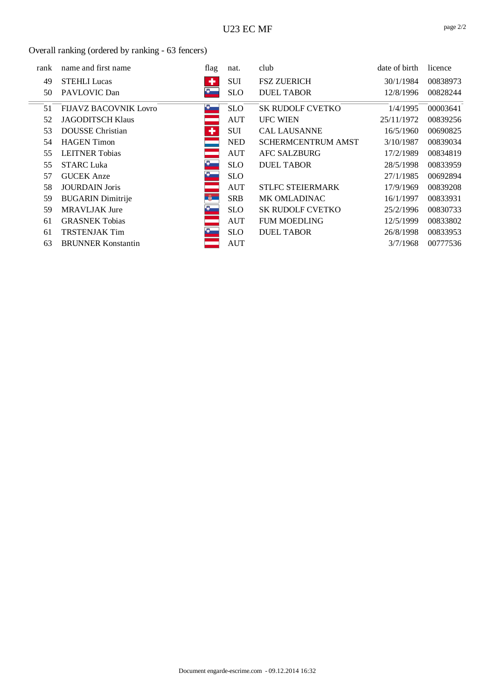## Overall ranking (ordered by ranking - 63 fencers)

| rank | name and first name          | flag          | nat.       | club                      | date of birth | licence  |
|------|------------------------------|---------------|------------|---------------------------|---------------|----------|
| 49   | <b>STEHLI Lucas</b>          | ٠             | <b>SUI</b> | <b>FSZ ZUERICH</b>        | 30/1/1984     | 00838973 |
| 50   | PAVLOVIC Dan                 | Ð             | <b>SLO</b> | <b>DUEL TABOR</b>         | 12/8/1996     | 00828244 |
| 51   | <b>FIJAVZ BACOVNIK Lovro</b> | ю.            | SLO.       | <b>SK RUDOLF CVETKO</b>   | 1/4/1995      | 00003641 |
| 52   | <b>JAGODITSCH Klaus</b>      |               | <b>AUT</b> | <b>UFC WIEN</b>           | 25/11/1972    | 00839256 |
| 53   | <b>DOUSSE</b> Christian      | ٠             | <b>SUI</b> | <b>CAL LAUSANNE</b>       | 16/5/1960     | 00690825 |
| 54   | <b>HAGEN</b> Timon           |               | <b>NED</b> | <b>SCHERMCENTRUM AMST</b> | 3/10/1987     | 00839034 |
| 55   | <b>LEITNER Tobias</b>        |               | AUT        | <b>AFC SALZBURG</b>       | 17/2/1989     | 00834819 |
| 55   | <b>STARC Luka</b>            | PŞ.           | <b>SLO</b> | <b>DUEL TABOR</b>         | 28/5/1998     | 00833959 |
| 57   | <b>GUCEK</b> Anze            |               | <b>SLO</b> |                           | 27/1/1985     | 00692894 |
| 58   | <b>JOURDAIN</b> Joris        |               | AUT        | <b>STLFC STEIERMARK</b>   | 17/9/1969     | 00839208 |
| 59   | <b>BUGARIN</b> Dimitrije     | $\frac{1}{2}$ | <b>SRB</b> | <b>MK OMLADINAC</b>       | 16/1/1997     | 00833931 |
| 59   | <b>MRAVLJAK Jure</b>         | Đ.            | <b>SLO</b> | <b>SK RUDOLF CVETKO</b>   | 25/2/1996     | 00830733 |
| 61   | <b>GRASNEK Tobias</b>        |               | <b>AUT</b> | <b>FUM MOEDLING</b>       | 12/5/1999     | 00833802 |
| 61   | <b>TRSTENJAK Tim</b>         |               | <b>SLO</b> | <b>DUEL TABOR</b>         | 26/8/1998     | 00833953 |
| 63   | <b>BRUNNER Konstantin</b>    |               | <b>AUT</b> |                           | 3/7/1968      | 00777536 |